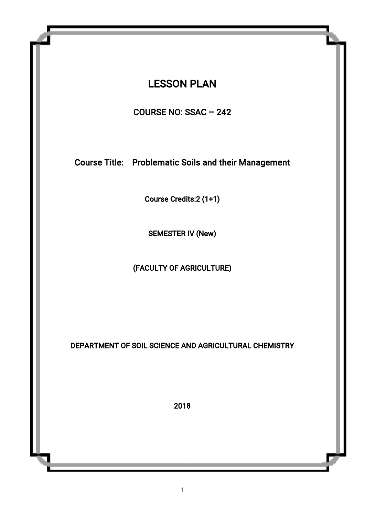# **LESSON PLAN**

COURSENO:SSAC–242

Course Title: Problematic Soils and their Management

Course Credits:2 (1+1)

SEMESTER IV (New)

(FACULTY OF AGRICULTURE)

DEPARTMENT OF SOIL SCIENCE AND AGRICULTURAL CHEMISTRY

2018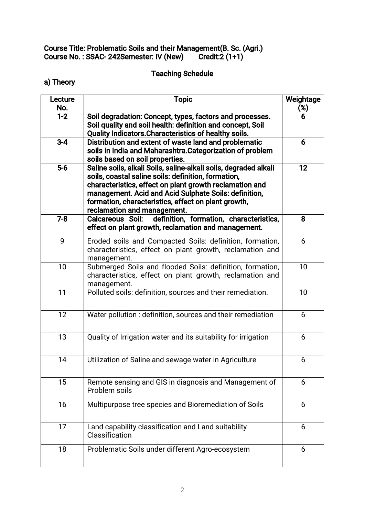#### Course Title: Problematic Soils and their Management(B. Sc. (Agri.) CourseNo.:SSAC-242Semester:IV(New) Credit:2(1+1)

# **Teaching Schedule**

a) Theory

| Lecture<br>No. | <b>Topic</b>                                                                                                                                                                                                                                                                                                                      | Weightage<br>(%) |
|----------------|-----------------------------------------------------------------------------------------------------------------------------------------------------------------------------------------------------------------------------------------------------------------------------------------------------------------------------------|------------------|
| $1 - 2$        | Soil degradation: Concept, types, factors and processes.<br>Soil quality and soil health: definition and concept, Soil<br>Quality Indicators. Characteristics of healthy soils.                                                                                                                                                   | 6.               |
| $3-4$          | Distribution and extent of waste land and problematic<br>soils in India and Maharashtra. Categorization of problem<br>soils based on soil properties.                                                                                                                                                                             | 6                |
| $5-6$          | Saline soils, alkali Soils, saline-alkali soils, degraded alkali<br>soils, coastal saline soils: definition, formation,<br>characteristics, effect on plant growth reclamation and<br>management. Acid and Acid Sulphate Soils: definition,<br>formation, characteristics, effect on plant growth,<br>reclamation and management. | 12               |
| $7-8$          | definition, formation, characteristics,<br><b>Calcareous Soil:</b><br>effect on plant growth, reclamation and management.                                                                                                                                                                                                         | 8                |
| 9              | Eroded soils and Compacted Soils: definition, formation,<br>characteristics, effect on plant growth, reclamation and<br>management.                                                                                                                                                                                               | 6                |
| 10             | Submerged Soils and flooded Soils: definition, formation,<br>characteristics, effect on plant growth, reclamation and<br>management.                                                                                                                                                                                              | 10               |
| 11             | Polluted soils: definition, sources and their remediation.                                                                                                                                                                                                                                                                        | 10               |
| 12             | Water pollution: definition, sources and their remediation                                                                                                                                                                                                                                                                        | 6                |
| 13             | Quality of Irrigation water and its suitability for irrigation                                                                                                                                                                                                                                                                    | 6                |
| 14             | Utilization of Saline and sewage water in Agriculture                                                                                                                                                                                                                                                                             | 6                |
| 15             | Remote sensing and GIS in diagnosis and Management of<br>Problem soils                                                                                                                                                                                                                                                            | 6                |
| 16             | Multipurpose tree species and Bioremediation of Soils                                                                                                                                                                                                                                                                             | 6                |
| 17             | Land capability classification and Land suitability<br>Classification                                                                                                                                                                                                                                                             | 6                |
| 18             | Problematic Soils under different Agro-ecosystem                                                                                                                                                                                                                                                                                  | 6                |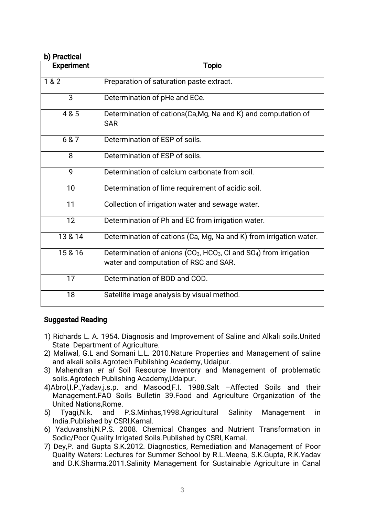# **b)** Practical

| <b>Experiment</b> | <b>Topic</b>                                                                                                                                    |
|-------------------|-------------------------------------------------------------------------------------------------------------------------------------------------|
| 1&8&2             | Preparation of saturation paste extract.                                                                                                        |
| 3                 | Determination of pHe and ECe.                                                                                                                   |
| 4 & 5             | Determination of cations(Ca,Mg, Na and K) and computation of<br><b>SAR</b>                                                                      |
| 6 & 7             | Determination of ESP of soils.                                                                                                                  |
| 8                 | Determination of ESP of soils.                                                                                                                  |
| 9                 | Determination of calcium carbonate from soil.                                                                                                   |
| 10                | Determination of lime requirement of acidic soil.                                                                                               |
| 11                | Collection of irrigation water and sewage water.                                                                                                |
| 12                | Determination of Ph and EC from irrigation water.                                                                                               |
| 13 & 14           | Determination of cations (Ca, Mg, Na and K) from irrigation water.                                                                              |
| 15 & 16           | Determination of anions (CO <sub>3</sub> , HCO <sub>3</sub> , CI and SO <sub>4</sub> ) from irrigation<br>water and computation of RSC and SAR. |
| 17                | Determination of BOD and COD.                                                                                                                   |
| 18                | Satellite image analysis by visual method.                                                                                                      |

### Suggested Reading

- 1) Richards L. A. 1954. Diagnosis and Improvement of Saline and Alkali soils.United State Department of Agriculture.
- 2) Maliwal, G.L and Somani L.L. 2010.Nature Properties and Management of saline and alkali soils.Agrotech Publishing Academy, Udaipur.
- 3) Mahendran et al Soil Resource Inventory and Management of problematic soils. Agrotech Publishing Academy, Udaipur.
- 4)Abrol, I.P., Yadav, j.s.p. and Masood, F.I. 1988. Salt Affected Soils and their Management.FAO Soils Bulletin 39.Food and Agriculture Organization of the United Nations, Rome.
- 5) Tyagi,N.k. and P.S.Minhas,1998.Agricultural Salinity Management in India.Published by CSRI.Karnal.
- 6) Yaduvanshi, N.P.S. 2008. Chemical Changes and Nutrient Transformation in Sodic/Poor Quality Irrigated Soils.Published by CSRI, Karnal.
- 7) Dey, P. and Gupta S.K.2012. Diagnostics, Remediation and Management of Poor Quality Waters: Lectures for Summer School by R.L.Meena, S.K.Gupta, R.K.Yadav and D.K.Sharma.2011.Salinity Management for Sustainable Agriculture in Canal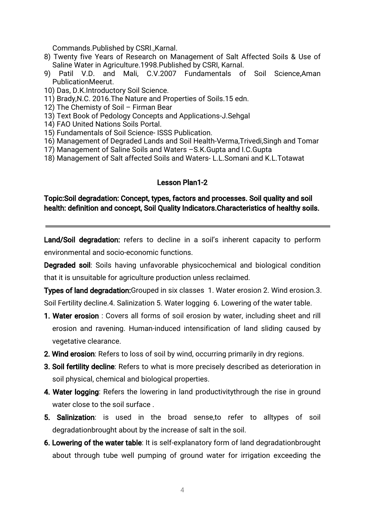Commands.Published by CSRI.,Karnal.

- 8) Twenty five Years of Research on Management of Salt Affected Soils & Use of Saline Water in Agriculture.1998.Published by CSRI, Karnal.
- 9) Patil V.D. and Mali, C.V.2007 Fundamentals of Soil Science,Aman PublicationMeerut.
- 10) Das, D.K.Introductory Soil Science.
- 11) Brady, N.C. 2016. The Nature and Properties of Soils. 15 edn.
- 12) The Chemisty of Soil Firman Bear
- 13) Text Book of Pedology Concepts and Applications-J.Sehgal
- 14) FAO United Nations Soils Portal.
- 15) Fundamentals of Soil Science-ISSS Publication.
- 16) Management of Degraded Lands and Soil Health-Verma, Trivedi, Singh and Tomar
- 17) Management of Saline Soils and Waters S.K. Gupta and I.C. Gupta
- 18) Management of Salt affected Soils and Waters-L.L.Somani and K.L.Totawat

# Lesson Plan1-2

# Topic:Soil degradation: Concept, types, factors and processes. Soil quality and soil health: definition and concept, Soil Quality Indicators.Characteristics of healthy soils.

Land/Soil degradation: refers to decline in a soil's inherent capacity to perform environmental and socio-economic functions.

**Degraded soil:** Soils having unfavorable physicochemical and biological condition that it is unsuitable for agriculture production unless reclaimed.

**Types of land degradation:**Grouped in six classes 1. Water erosion 2. Wind erosion.3. Soil Fertility decline.4. Salinization 5. Water logging 6. Lowering of the water table.

- 1. Water erosion: Covers all forms of soil erosion by water, including sheet and rill erosion and ravening. Human-induced intensification of land sliding caused by vegetative clearance.
- 2. Wind erosion: Refers to loss of soil by wind, occurring primarily in dry regions.
- 3. Soil fertility decline: Refers to what is more precisely described as deterioration in soil physical, chemical and biological properties.
- 4. Water logging: Refers the lowering in land productivitythrough the rise in ground water close to the soil surface.
- 5. Salinization: is used in the broad sense, to refer to alltypes of soil degradationbrought about by the increase of salt in the soil.
- 6. Lowering of the water table: It is self-explanatory form of land degradationbrought about through tube well pumping of ground water for irrigation exceeding the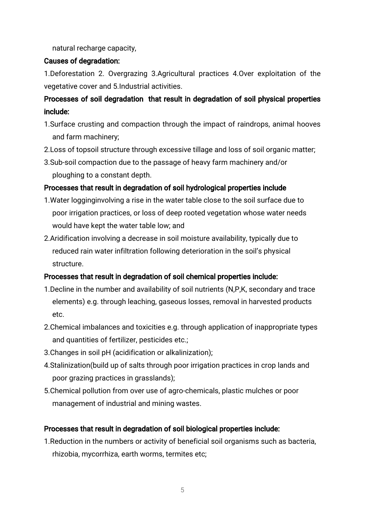natural recharge capacity,

# Causes of degradation:

1.Deforestation 2. Overgrazing 3.Agricultural practices 4.Over exploitation of the vegetative cover and 5.Industrial activities.

# Processes of soil degradation that result in degradation of soil physical properties include:

- 1. Surface crusting and compaction through the impact of raindrops, animal hooves and farm machinery;
- 2. Loss of topsoil structure through excessive tillage and loss of soil organic matter;
- 3.Sub-soil compaction due to the passage of heavy farm machinery and/or ploughing to a constant depth.

# Processes that result in degradation of soil hydrological properties include

- 1. Water logginginvolving a rise in the water table close to the soil surface due to poor irrigation practices, or loss of deep rooted vegetation whose water needs would have kept the water table low; and
- 2. Aridification involving a decrease in soil moisture availability, typically due to reduced rain water infiltration following deterioration in the soil's physical structure.

# Processes that result in degradation of soil chemical properties include:

- 1. Decline in the number and availability of soil nutrients (N,P,K, secondary and trace elements) e.g. through leaching, gaseous losses, removal in harvested products etc.
- 2. Chemical imbalances and toxicities e.g. through application of inappropriate types and quantities of fertilizer, pesticides etc.;
- 3. Changes in soil pH (acidification or alkalinization);
- 4. Stalinization(build up of salts through poor irrigation practices in crop lands and poor grazing practices in grasslands);
- 5. Chemical pollution from over use of agro-chemicals, plastic mulches or poor management of industrial and mining wastes.

# Processes that result in degradation of soil biological properties include:

1. Reduction in the numbers or activity of beneficial soil organisms such as bacteria, rhizobia, mycorrhiza, earth worms, termites etc;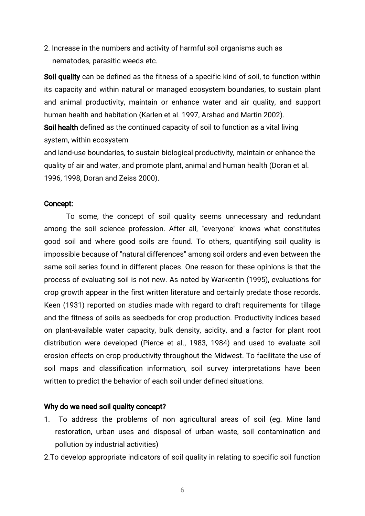2. Increase in the numbers and activity of harmful soil organisms such as nematodes, parasitic weeds etc.

Soil quality can be defined as the fitness of a specific kind of soil, to function within its capacity and within natural or managed ecosystem boundaries, to sustain plant and animal productivity, maintain or enhance water and air quality, and support human health and habitation (Karlen et al. 1997, Arshad and Martin 2002).

Soil health defined as the continued capacity of soil to function as a vital living system, within ecosystem

and land-use boundaries, to sustain biological productivity, maintain or enhance the quality of air and water, and promote plant, animal and human health (Doran et al. 1996, 1998, Doran and Zeiss 2000).

#### Concept:

To some, the concept of soil quality seems unnecessary and redundant among the soil science profession. After all, "everyone" knows what constitutes good soil and where good soils are found. To others, quantifying soil quality is impossible because of "natural differences" among soil orders and even between the same soil series found in different places. One reason for these opinions is that the process of evaluating soil is not new. As noted by Warkentin (1995), evaluations for crop growth appear in the first written literature and certainly predate those records. Keen (1931) reported on studies made with regard to draft requirements for tillage and the fitness of soils as seedbeds for crop production. Productivity indices based on plant-available water capacity, bulk density, acidity, and a factor for plant root distribution were developed (Pierce et al., 1983, 1984) and used to evaluate soil erosion effects on crop productivity throughout the Midwest. To facilitate the use of soil maps and classification information, soil survey interpretations have been written to predict the behavior of each soil under defined situations.

#### Why do we need soil quality concept?

- 1. To address the problems of non agricultural areas of soil (eg. Mine land restoration, urban uses and disposal of urban waste, soil contamination and pollution by industrial activities)
- 2. To develop appropriate indicators of soil quality in relating to specific soil function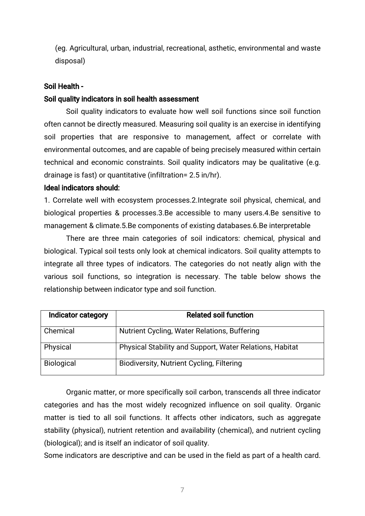(eg. Agricultural, urban, industrial, recreational, asthetic, environmental and waste disposal)

#### Soil Health -

#### Soil quality indicators in soil health assessment

Soil quality indicators to evaluate how well soil functions since soil function often cannot be directly measured. Measuring soil quality is an exercise in identifying soil properties that are responsive to management, affect or correlate with environmental outcomes, and are capable of being precisely measured within certain technical and economic constraints. Soil quality indicators may be qualitative (e.g. drainage is fast) or quantitative (infiltration= 2.5 in/hr).

#### Ideal indicators should:

1. Correlate well with ecosystem processes.2.Integrate soil physical, chemical, and biological properties & processes.3.Be accessible to many users.4.Be sensitive to management & climate.5.Be components of existing databases.6.Be interpretable

There are three main categories of soil indicators: chemical, physical and biological. Typical soil tests only look at chemical indicators. Soil quality attempts to integrate all three types of indicators. The categories do not neatly align with the various soil functions, so integration is necessary. The table below shows the relationship between indicator type and soil function.

| Indicator category | <b>Related soil function</b>                             |
|--------------------|----------------------------------------------------------|
| Chemical           | Nutrient Cycling, Water Relations, Buffering             |
| Physical           | Physical Stability and Support, Water Relations, Habitat |
| <b>Biological</b>  | <b>Biodiversity, Nutrient Cycling, Filtering</b>         |

Organic matter, or more specifically soil carbon, transcends all three indicator categories and has the most widely recognized influence on soil quality. Organic matter is tied to all soil functions. It affects other indicators, such as aggregate stability (physical), nutrient retention and availability (chemical), and nutrient cycling (biological); and is itself an indicator of soil quality.

Some indicators are descriptive and can be used in the field as part of a health card.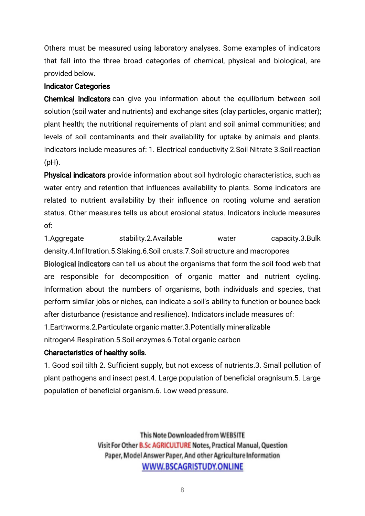Others must be measured using laboratory analyses. Some examples of indicators that fall into the three broad categories of chemical, physical and biological, are provided below.

# **Indicator Categories**

Chemical indicators can give you information about the equilibrium between soil solution (soil water and nutrients) and exchange sites (clay particles, organic matter); plant health; the nutritional requirements of plant and soil animal communities; and levels of soil contaminants and their availability for uptake by animals and plants. Indicators include measures of: 1. Electrical conductivity 2. Soil Nitrate 3. Soil reaction (pH).

Physical indicators provide information about soil hydrologic characteristics, such as water entry and retention that influences availability to plants. Some indicators are related to nutrient availability by their influence on rooting volume and aeration status. Other measures tells us about erosional status. Indicators include measures of:

1.Aggregate stability.2.Available water capacity.3.Bulk density.4.Infiltration.5.Slaking.6.Soil crusts.7.Soil structure and macropores

Biological indicators can tell us about the organisms that form the soil food web that are responsible for decomposition of organic matter and nutrient cycling. Information about the numbers of organisms, both individuals and species, that perform similar jobs or niches, can indicate a soil's ability to function or bounce back after disturbance (resistance and resilience). Indicators include measures of:

1. Earthworms. 2. Particulate organic matter. 3. Potentially mineralizable nitrogen4.Respiration.5.Soil enzymes.6.Total organic carbon

# Characteristics of healthy soils.

1. Good soil tilth 2. Sufficient supply, but not excess of nutrients.3. Small pollution of plant pathogens and insect pest.4. Large population of beneficial oragnisum.5. Large population of beneficial organism.6. Low weed pressure.

> This Note Downloaded from WEBSITE Visit For Other B.Sc AGRICULTURE Notes, Practical Manual, Question Paper, Model Answer Paper, And other Agriculture Information WWW.BSCAGRISTUDY.ONLINE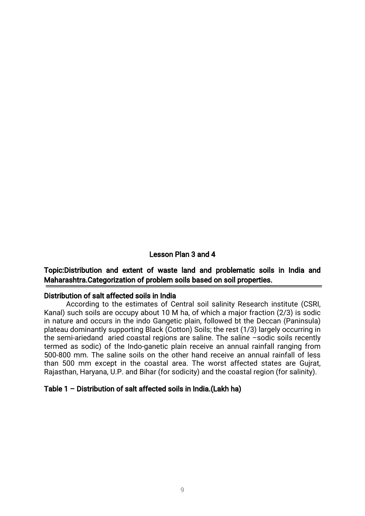#### Lesson Plan 3 and 4

### Topic:Distribution and extent of waste land and problematic soils in India and Maharashtra.Categorization of problem soils based on soil properties.

#### Distribution of salt affected soils in India

According to the estimates of Central soil salinity Research institute (CSRI, Kanal) such soils are occupy about 10 M ha, of which a major fraction (2/3) is sodic in nature and occurs in the indo Gangetic plain, followed bt the Deccan (Paninsula) plateau dominantly supporting Black (Cotton) Soils; the rest (1/3) largely occurring in the semi-ariedand aried coastal regions are saline. The saline  $-$ sodic soils recently termed as sodic) of the Indo-ganetic plain receive an annual rainfall ranging from 500-800 mm. The saline soils on the other hand receive an annual rainfall of less than 500 mm except in the coastal area. The worst affected states are Gujrat, Rajasthan, Haryana, U.P. and Bihar (for sodicity) and the coastal region (for salinity).

#### Table 1 – Distribution of salt affected soils in India.(Lakh ha)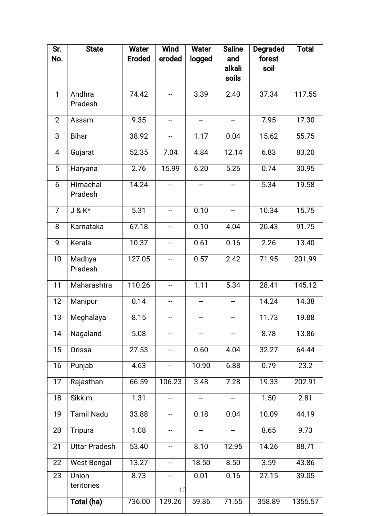| Sr.<br>No.     | <b>State</b>         | <b>Water</b><br><b>Eroded</b> | <b>Wind</b><br>eroded    | <b>Water</b> | <b>Saline</b><br>and                | <b>Degraded</b><br>forest | <b>Total</b> |  |  |
|----------------|----------------------|-------------------------------|--------------------------|--------------|-------------------------------------|---------------------------|--------------|--|--|
|                |                      |                               |                          | logged       | alkali<br>soils                     | soil                      |              |  |  |
|                |                      |                               |                          |              |                                     |                           |              |  |  |
| $\mathbf{1}$   | Andhra<br>Pradesh    | 74.42                         |                          | 3.39         | 2.40                                | 37.34                     | 117.55       |  |  |
| $\overline{2}$ | Assam                | 9.35                          | --                       |              |                                     | 7.95                      | 17.30        |  |  |
| 3              | <b>Bihar</b>         | 38.92                         | --                       | 1.17         | 0.04                                | 15.62                     | 55.75        |  |  |
| $\overline{4}$ | Gujarat              | 52.35                         | 7.04                     | 4.84         | 12.14                               | 6.83                      | 83.20        |  |  |
| 5              | Haryana              | 2.76                          | 15.99                    | 6.20         | 5.26                                | 0.74                      | 30.95        |  |  |
| 6              | Himachal<br>Pradesh  | 14.24                         | $\overline{\phantom{a}}$ | --           | --                                  | 5.34                      | 19.58        |  |  |
| $\overline{7}$ | $J & K^*$            | 5.31                          | $\overline{\phantom{a}}$ | 0.10         | $\overline{\phantom{a}}$            | 10.34                     | 15.75        |  |  |
| 8              | Karnataka            | 67.18                         |                          | 0.10         | 4.04                                | 20.43                     | 91.75        |  |  |
| 9              | Kerala               | 10.37                         | --                       | 0.61         | 0.16                                | 2.26                      | 13.40        |  |  |
| 10             | Madhya<br>Pradesh    | 127.05                        |                          | 0.57         | 2.42                                | 71.95                     | 201.99       |  |  |
| 11             | Maharashtra          | 110.26                        | $\overline{\phantom{a}}$ | 1.11         | 5.34                                | 28.41                     | 145.12       |  |  |
| 12             | Manipur              | 0.14                          | --                       |              | --                                  | 14.24                     | 14.38        |  |  |
| 13             | Meghalaya            | 8.15                          |                          |              |                                     | 11.73                     | 19.88        |  |  |
| 14             | Nagaland             | 5.08                          |                          |              |                                     | 8.78                      | 13.86        |  |  |
| 15             | Orissa               | 27.53                         | --                       | 0.60         | 4.04                                | 32.27                     | 64.44        |  |  |
| 16             | Punjab               | 4.63                          | --                       | 10.90        | 6.88                                | 0.79                      | 23.2         |  |  |
| 17             | Rajasthan            | 66.59                         | 106.23                   | 3.48         | 7.28                                | 19.33                     | 202.91       |  |  |
| 18             | Sikkim               | 1.31                          | --                       |              | $\hspace{0.05cm}$ $\hspace{0.05cm}$ | 1.50                      | 2.81         |  |  |
| 19             | <b>Tamil Nadu</b>    | 33.88                         |                          | 0.18         | 0.04                                | 10.09                     | 44.19        |  |  |
| 20             | Tripura              | 1.08                          | --                       |              | ∽                                   | 8.65                      | 9.73         |  |  |
| 21             | <b>Uttar Pradesh</b> | 53.40                         | --                       | 8.10         | 12.95                               | 14.26                     | 88.71        |  |  |
| 22             | <b>West Bengal</b>   | 13.27                         | --                       | 18.50        | 8.50                                | 3.59                      | 43.86        |  |  |
| 23             | Union<br>teritories  | 8.73                          | --<br>10                 | 0.01         | 0.16                                | 27.15                     | 39.05        |  |  |
|                | Total (ha)           | 736.00                        | 129.26                   | 59.86        | 71.65                               | 358.89                    | 1355.57      |  |  |
|                |                      |                               |                          |              |                                     |                           |              |  |  |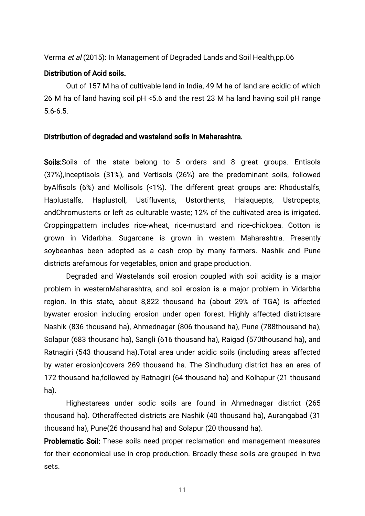### Verma et al (2015): In Management of Degraded Lands and Soil Health,pp.06

#### Distribution of Acid soils.

Out of 157 M ha of cultivable land in India, 49 M ha of land are acidic of which 26 M ha of land having soil pH <5.6 and the rest 23 M ha land having soil pH range 5.6-6.5.

#### Distribution of degraded and wasteland soils in Maharashtra.

Soils: Soils of the state belong to 5 orders and 8 great groups. Entisols (37%), Inceptisols (31%), and Vertisols (26%) are the predominant soils, followed byAlfisols (6%) and Mollisols (<1%). The different great groups are: Rhodustalfs, Haplustalfs, Haplustoll, Ustifluvents, Ustorthents, Halaquepts, Ustropepts, andChromusterts or left as culturable waste; 12% of the cultivated area is irrigated. Croppingpattern includes rice-wheat, rice-mustard and rice-chickpea. Cotton is grown in Vidarbha. Sugarcane is grown in western Maharashtra. Presently soybeanhas been adopted as a cash crop by many farmers. Nashik and Pune districts arefamous for vegetables, onion and grape production.

Degraded and Wastelands soil erosion coupled with soil acidity is a major problem in westernMaharashtra, and soil erosion is a major problem in Vidarbha region. In this state, about 8,822 thousand ha (about 29% of TGA) is affected bywater erosion including erosion under open forest. Highly affected districtsare Nashik (836 thousand ha), Ahmednagar (806 thousand ha), Pune (788thousand ha), Solapur (683 thousand ha), Sangli (616 thousand ha), Raigad (570thousand ha), and Ratnagiri (543 thousand ha).Total area under acidic soils (including areas affected by water erosion)covers 269 thousand ha. The Sindhudurg district has an area of 172 thousand ha,followed by Ratnagiri (64 thousand ha) and Kolhapur (21 thousand ha).

Highestareas under sodic soils are found in Ahmednagar district (265 thousand ha). Otheraffected districts are Nashik (40 thousand ha), Aurangabad (31 thousand ha), Pune(26 thousand ha) and Solapur (20 thousand ha).

Problematic Soil: These soils need proper reclamation and management measures for their economical use in crop production. Broadly these soils are grouped in two sets.

11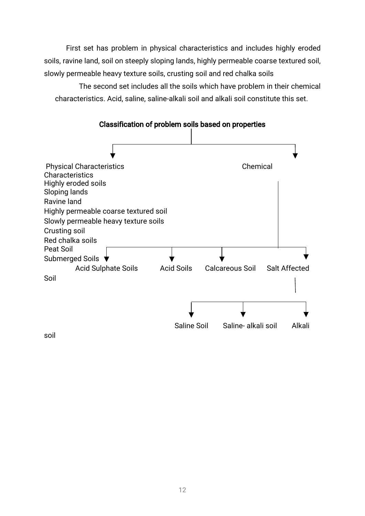First set has problem in physical characteristics and includes highly eroded soils, ravine land, soil on steeply sloping lands, highly permeable coarse textured soil, slowly permeable heavy texture soils, crusting soil and red chalka soils

The second set includes all the soils which have problem in their chemical characteristics. Acid, saline, saline-alkali soil and alkali soil constitute this set.



Classification of problem soils based on properties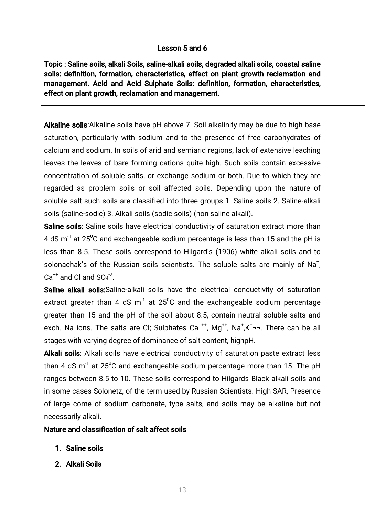# Lesson 5 and 6

Topic: Saline soils, alkali Soils, saline-alkali soils, degraded alkali soils, coastal saline soils: definition, formation, characteristics, effect on plant growth reclamation and management. Acid and Acid Sulphate Soils: definition, formation, characteristics, effect on plant growth, reclamation and management.

Alkaline soils: Alkaline soils have pH above 7. Soil alkalinity may be due to high base saturation, particularly with sodium and to the presence of free carbohydrates of calcium and sodium. In soils of arid and semiarid regions, lack of extensive leaching leaves the leaves of bare forming cations quite high. Such soils contain excessive concentration of soluble salts, or exchange sodium or both. Due to which they are regarded as problem soils or soil affected soils. Depending upon the nature of soluble salt such soils are classified into three groups 1. Saline soils 2. Saline-alkali soils (saline-sodic) 3. Alkali soils (sodic soils) (non saline alkali).

Saline soils: Saline soils have electrical conductivity of saturation extract more than 4 dS  $m^{-1}$  at 25<sup>o</sup>C and exchangeable sodium percentage is less than 15 and the pH is less than 8.5. These soils correspond to Hilgard's (1906) white alkali soils and to solonachak's of the Russian soils scientists. The soluble salts are mainly of Na<sup>+</sup>,  $Ca^{++}$  and Cl and  $SO_4^{\text{-2}}$ .

Saline alkali soils: Saline-alkali soils have the electrical conductivity of saturation extract greater than 4 dS  $m^{-1}$  at 25<sup>0</sup>C and the exchangeable sodium percentage greater than 15 and the pH of the soil about 8.5, contain neutral soluble salts and exch. Na ions. The salts are Cl; Sulphates Ca<sup>++</sup>, Mg<sup>++</sup>, Na<sup>+</sup>,K<sup>+</sup><sub>7</sub>--. There can be all stages with varying degree of dominance of salt content, highpH.

Alkali soils: Alkali soils have electrical conductivity of saturation paste extract less than 4 dS m<sup>-1</sup> at 25<sup>°</sup>C and exchangeable sodium percentage more than 15. The pH ranges between 8.5 to 10. These soils correspond to Hilgards Black alkali soils and in some cases Solonetz, of the term used by Russian Scientists. High SAR, Presence of large come of sodium carbonate, type salts, and soils may be alkaline but not necessarily alkali.

### Nature and classification of salt affect soils

- 1. Saline soils
- 2. Alkali Soils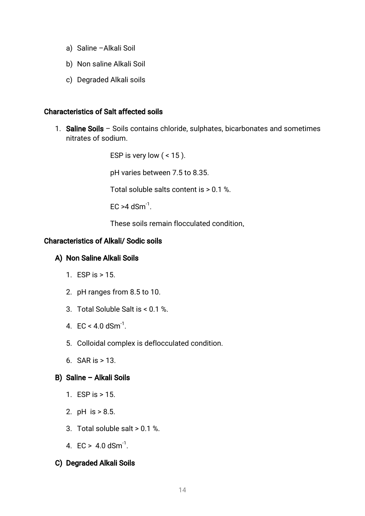- a) Saline Alkali Soil
- b) Non saline Alkali Soil
- c) Degraded Alkali soils

#### Characteristics of Salt affected soils

1. Saline Soils – Soils contains chloride, sulphates, bicarbonates and sometimes nitrates of sodium.

> ESP is very low  $($  < 15  $).$ pH varies between 7.5 to 8.35. Total soluble salts content is  $> 0.1$  %.  $FC > 4$  dSm<sup>-1</sup>.

These soils remain flocculated condition.

### Characteristics of Alkali/Sodic soils

### A) Non Saline Alkali Soils

- 1.ESPis>15.
- 2. pH ranges from 8.5 to 10.
- 3. Total Soluble Salt is < 0.1 %.
- 4.  $EC < 4.0$  dSm<sup>-1</sup>.
- 5. Colloidal complex is deflocculated condition.
- 6. SAR is  $> 13$ .

### B) Saline – Alkali Soils

- 1. ESP is  $> 15$ .
- 2.pH is>8.5.
- 3. Total soluble salt  $> 0.1$  %.
- 4.  $EC > 4.0$  dSm<sup>-1</sup>.

### C) Degraded Alkali Soils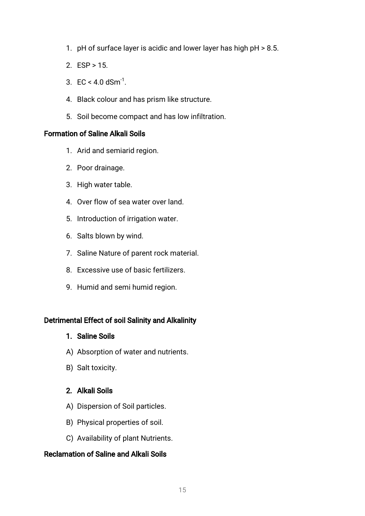- 1. pH of surface layer is acidic and lower layer has high  $pH > 8.5$ .
- 2.  $ESP > 15$ .
- 3.  $EC < 4.0$  dSm<sup>-1</sup>.
- 4. Black colour and has prism like structure.
- 5. Soil become compact and has low infiltration.

#### Formation of Saline Alkali Soils

- 1. Arid and semiarid region.
- 2. Poor drainage.
- 3. High water table.
- 4. Over flow of sea water over land.
- 5. Introduction of irrigation water.
- 6. Salts blown by wind.
- 7. Saline Nature of parent rock material.
- 8. Excessive use of basic fertilizers.
- 9. Humid and semi humid region.

### Detrimental Effect of soil Salinity and Alkalinity

- 1. Saline Soils
- A) Absorption of water and nutrients.
- B) Salt toxicity.

# 2. Alkali Soils

- A) Dispersion of Soil particles.
- B) Physical properties of soil.
- C) Availability of plant Nutrients.

### Reclamation of Saline and Alkali Soils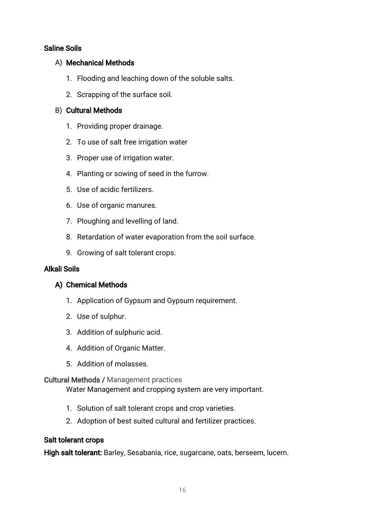# **Saline Soils**

### A) Mechanical Methods

- 1. Flooding and leaching down of the soluble salts.
- 2. Scrapping of the surface soil.

# B) Cultural Methods

- 1. Providing proper drainage.
- 2. To use of salt free irrigation water
- 3. Proper use of irrigation water.
- 4. Planting or sowing of seed in the furrow.
- 5. Use of acidic fertilizers.
- 6. Use of organic manures.
- 7. Ploughing and levelling of land.
- 8. Retardation of water evaporation from the soil surface.
- 9. Growing of salt tolerant crops.

# Alkali Soils

# A) Chemical Methods

- 1. Application of Gypsum and Gypsum requirement.
- 2. Use of sulphur.
- 3. Addition of sulphuric acid.
- 4. Addition of Organic Matter.
- 5. Addition of molasses.

### **Cultural Methods / Management practices**

Water Management and cropping system are very important.

- 1. Solution of salt tolerant crops and crop varieties.
- 2. Adoption of best suited cultural and fertilizer practices.

### Salt tolerant crops

High salt tolerant: Barley, Sesabania, rice, sugarcane, oats, berseem, lucern.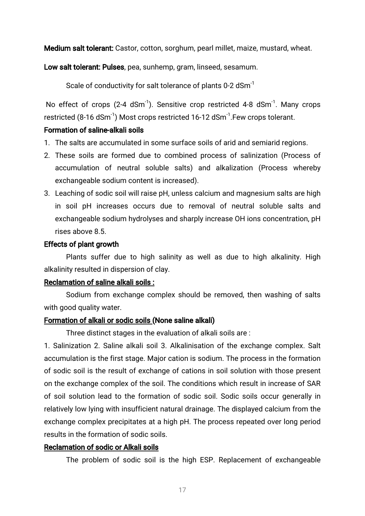Medium salt tolerant: Castor, cotton, sorghum, pearl millet, maize, mustard, wheat.

Low salt tolerant: Pulses, pea, sunhemp, gram, linseed, sesamum.

Scale of conductivity for salt tolerance of plants 0-2 dSm<sup>-1</sup>

No effect of crops (2-4 dSm<sup>-1</sup>). Sensitive crop restricted 4-8 dSm<sup>-1</sup>. Many crops restricted (8-16 dSm<sup>-1</sup>) Most crops restricted 16-12 dSm<sup>-1</sup>. Few crops tolerant.

#### Formation of saline-alkali soils

- 1. The salts are accumulated in some surface soils of arid and semiarid regions.
- 2. These soils are formed due to combined process of salinization (Process of accumulation of neutral soluble salts) and alkalization (Process whereby exchangeable sodium content is increased).
- 3. Leaching of sodic soil will raise pH, unless calcium and magnesium salts are high in soil pH increases occurs due to removal of neutral soluble salts and exchangeable sodium hydrolyses and sharply increase OH ions concentration, pH rises above 8.5.

#### Effects of plant growth

Plants suffer due to high salinity as well as due to high alkalinity. High alkalinity resulted in dispersion of clay.

#### Reclamation of saline alkali soils:

Sodium from exchange complex should be removed, then washing of salts with good quality water.

### Formation of alkali or sodic soils (None saline alkali)

Three distinct stages in the evaluation of alkali soils are:

1. Salinization 2. Saline alkali soil 3. Alkalinisation of the exchange complex. Salt accumulation is the first stage. Major cation is sodium. The process in the formation of sodic soil is the result of exchange of cations in soil solution with those present on the exchange complex of the soil. The conditions which result in increase of SAR of soil solution lead to the formation of sodic soil. Sodic soils occur generally in relatively low lying with insufficient natural drainage. The displayed calcium from the exchange complex precipitates at a high pH. The process repeated over long period results in the formation of sodic soils.

### Reclamation of sodic or Alkali soils

The problem of sodic soil is the high ESP. Replacement of exchangeable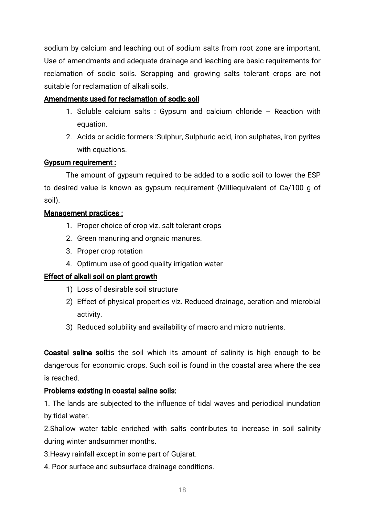sodium by calcium and leaching out of sodium salts from root zone are important. Use of amendments and adequate drainage and leaching are basic requirements for reclamation of sodic soils. Scrapping and growing salts tolerant crops are not suitable for reclamation of alkali soils.

# Amendments used for reclamation of sodic soil

- 1. Soluble calcium salts: Gypsum and calcium chloride Reaction with equation.
- 2. Acids or acidic formers: Sulphur, Sulphuric acid, iron sulphates, iron pyrites with equations.

### Gypsum requirement:

The amount of gypsum required to be added to a sodic soil to lower the ESP to desired value is known as gypsum requirement (Milliequivalent of Ca/100 g of soil).

### Management practices:

- 1. Proper choice of crop viz. salt tolerant crops
- 2. Green manuring and orgnaic manures.
- 3. Proper crop rotation
- 4. Optimum use of good quality irrigation water

# Effect of alkali soil on plant growth

- 1) Loss of desirable soil structure
- 2) Effect of physical properties viz. Reduced drainage, aeration and microbial activity.
- 3) Reduced solubility and availability of macro and micro nutrients.

**Coastal saline soil:** is the soil which its amount of salinity is high enough to be dangerous for economic crops. Such soil is found in the coastal area where the sea is reached.

### Problems existing in coastal saline soils:

1. The lands are subjected to the influence of tidal waves and periodical inundation by tidal water.

2.Shallow water table enriched with salts contributes to increase in soil salinity during winter and summer months.

- 3. Heavy rainfall except in some part of Gujarat.
- 4. Poor surface and subsurface drainage conditions.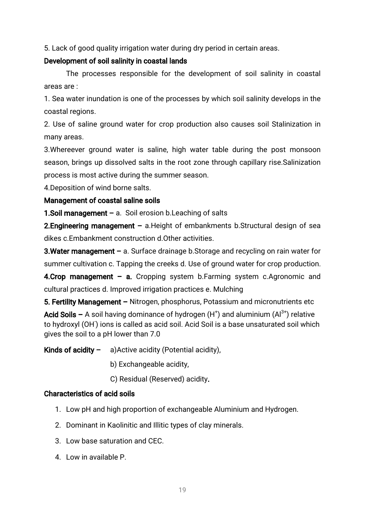5. Lack of good quality irrigation water during dry period in certain areas.

# Development of soil salinity in coastal lands

The processes responsible for the development of soil salinity in coastal areasare:

1. Sea water inundation is one of the processes by which soil salinity develops in the coastal regions.

2. Use of saline ground water for crop production also causes soil Stalinization in many areas.

3. Whereever ground water is saline, high water table during the post monsoon season, brings up dissolved salts in the root zone through capillary rise. Salinization process is most active during the summer season.

4. Deposition of wind borne salts.

# Management of coastal saline soils

**1.Soil management** – a. Soil erosion b. Leaching of salts

**2. Engineering management** – a. Height of embankments b. Structural design of sea dikes c.Embankment construction d.Other activities.

**3.Water management** – a. Surface drainage b.Storage and recycling on rain water for summer cultivation c. Tapping the creeks d. Use of ground water for crop production.

4.Crop management – a. Cropping system b.Farming system c.Agronomic and cultural practices d. Improved irrigation practices e. Mulching

5. Fertility Management – Nitrogen, phosphorus, Potassium and micronutrients etc Acid Soils – A soil having dominance of hydrogen  $(H^+)$  and aluminium  $(Al^{3+})$  relative to hydroxyl (OH<sup>-</sup>) ions is called as acid soil. Acid Soil is a base unsaturated soil which gives the soil to a pH lower than 7.0

Kinds of acidity  $-$  a) Active acidity (Potential acidity),

- b) Exchangeable acidity,
- C) Residual (Reserved) acidity.

# Characteristics of acid soils

- 1. Low pH and high proportion of exchangeable Aluminium and Hydrogen.
- 2. Dominant in Kaolinitic and Illitic types of clay minerals.
- 3. Low base saturation and CEC.
- 4. Low in available P.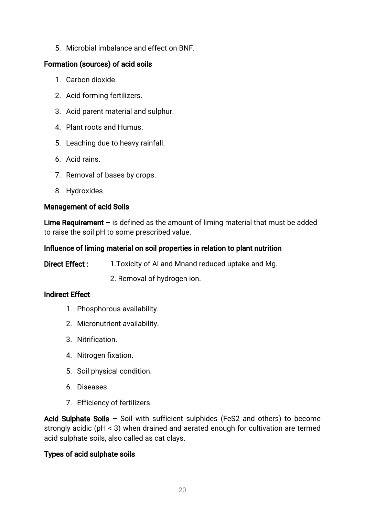5. Microbial imbalance and effect on BNF.

# Formation (sources) of acid soils

- 1. Carbon dioxide.
- 2. Acid forming fertilizers.
- 3. Acid parent material and sulphur.
- 4. Plant roots and Humus.
- 5. Leaching due to heavy rainfall.
- 6. Acid rains.
- 7. Removal of bases by crops.
- 8.Hydroxides.

# Management of acid Soils

Lime Requirement – is defined as the amount of liming material that must be added to raise the soil pH to some prescribed value.

# Influence of liming material on soil properties in relation to plant nutrition

Direct Effect: 1. Toxicity of Al and Mnand reduced uptake and Mg.

2. Removal of hydrogen ion.

# **Indirect Effect**

- 1. Phosphorous availability.
- 2. Micronutrient availability.
- 3.Nitrification.
- 4. Nitrogen fixation.
- 5. Soil physical condition.
- 6.Diseases.
- 7. Efficiency of fertilizers.

Acid Sulphate Soils – Soil with sufficient sulphides (FeS2 and others) to become strongly acidic (pH < 3) when drained and aerated enough for cultivation are termed acid sulphate soils, also called as cat clays.

# Types of acid sulphate soils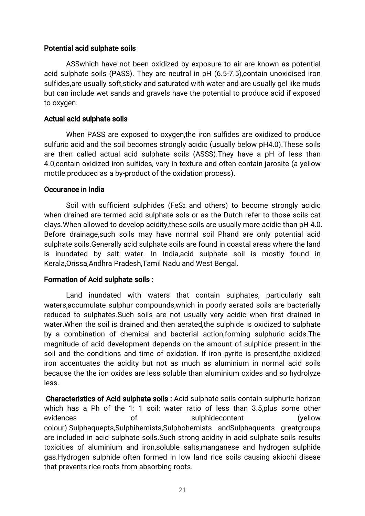#### Potential acid sulphate soils

ASSwhich have not been oxidized by exposure to air are known as potential acid sulphate soils (PASS). They are neutral in pH (6.5-7.5), contain unoxidised iron sulfides, are usually soft, sticky and saturated with water and are usually gellike muds but can include wet sands and gravels have the potential to produce acid if exposed to oxygen.

#### Actual acid sulphate soils

When PASS are exposed to oxygen, the iron sulfides are oxidized to produce sulfuric acid and the soil becomes strongly acidic (usually below pH4.0). These soils are then called actual acid sulphate soils (ASSS). They have a pH of less than 4.0, contain oxidized iron sulfides, vary in texture and often contain jarosite (a yellow mottle produced as a by-product of the oxidation process).

#### Occurance in India

Soil with sufficient sulphides (FeS<sub>2</sub> and others) to become strongly acidic when drained are termed acid sulphate sols or as the Dutch refer to those soils cat clays. When allowed to develop acidity, these soils are usually more acidic than pH 4.0. Before drainage, such soils may have normal soil Phand are only potential acid sulphate soils.Generally acid sulphate soils are found in coastal areas where the land is inundated by salt water. In India, acid sulphate soil is mostly found in Kerala, Orissa, Andhra Pradesh, Tamil Nadu and West Bengal.

### Formation of Acid sulphate soils:

Land inundated with waters that contain sulphates, particularly salt waters, accumulate sulphur compounds, which in poorly aerated soils are bacterially reduced to sulphates. Such soils are not usually very acidic when first drained in water. When the soil is drained and then aerated, the sulphide is oxidized to sulphate by a combination of chemical and bacterial action,forming sulphuric acids.The magnitude of acid development depends on the amount of sulphide present in the soil and the conditions and time of oxidation. If iron pyrite is present, the oxidized iron accentuates the acidity but not as much as aluminium in normal acid soils because the the ion oxides are less soluble than aluminium oxides and so hydrolyze less.

Characteristics of Acid sulphate soils: Acid sulphate soils contain sulphuric horizon which has a Ph of the 1: 1 soil: water ratio of less than 3.5, plus some other evidences of sulphidecontent (yellow colour).Sulphaquepts,Sulphihemists,Sulphohemists andSulphaquents greatgroups are included in acid sulphate soils. Such strong acidity in acid sulphate soils results toxicities of aluminium and iron,soluble salts,manganese and hydrogen sulphide gas.Hydrogen sulphide often formed in low land rice soils causing akiochi diseae that prevents rice roots from absorbing roots.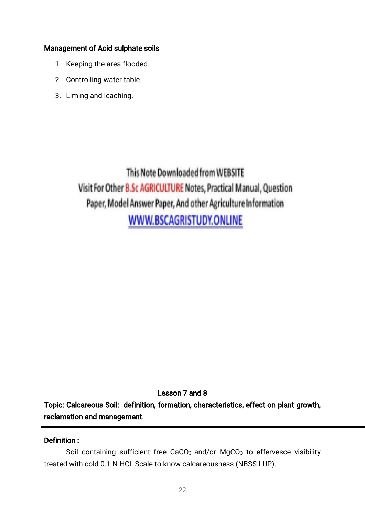# Management of Acid sulphate soils

- 1. Keeping the area flooded.
- 2. Controlling water table.
- 3. Liming and leaching.

This Note Downloaded from WEBSITE Visit For Other B.Sc AGRICULTURE Notes, Practical Manual, Question Paper, Model Answer Paper, And other Agriculture Information WWW.BSCAGRISTUDY.ONLINE

Lesson 7 and 8

Topic: Calcareous Soil: definition, formation, characteristics, effect on plant growth, reclamation and management.

# Definition:

Soil containing sufficient free CaCO<sub>3</sub> and/or MgCO<sub>3</sub> to effervesce visibility treated with cold 0.1 N HCl. Scale to know calcareousness (NBSS LUP).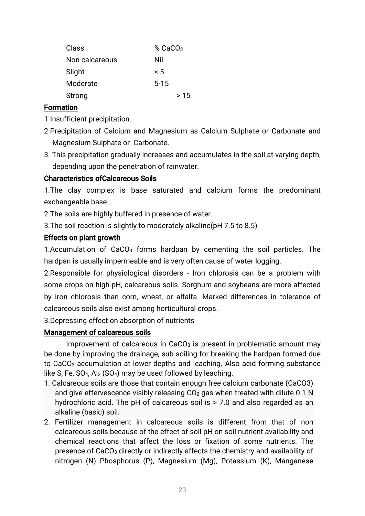| Class          | $%$ CaCO <sub>3</sub> |
|----------------|-----------------------|
| Non calcareous | Nil                   |
| Slight         | $\leq 5$              |
| Moderate       | $5 - 15$              |
| Strong         | > 15                  |

# Formation

1. Insufficient precipitation.

- 2.Precipitation of Calcium and Magnesium as Calcium Sulphate or Carbonate and Magnesium Sulphate or Carbonate.
- 3. This precipitation gradually increases and accumulates in the soil at varying depth, depending upon the penetration of rainwater.

# Characteristics of Calcareous Soils

1.The clay complex is base saturated and calcium forms the predominant exchangeable base.

2. The soils are highly buffered in presence of water.

3. The soil reaction is slightly to moderately alkaline(pH7.5 to 8.5)

# Effects on plant growth

1.Accumulation of  $CaCO<sub>3</sub>$  forms hardpan by cementing the soil particles. The hardpan is usually impermeable and is very often cause of water logging.

2. Responsible for physiological disorders - Iron chlorosis can be a problem with some crops on high-pH, calcareous soils. Sorghum and soybeans are more affected by iron chlorosis than corn, wheat, or alfalfa. Marked differences in tolerance of calcareous soils also exist among horticultural crops.

3.Depressing effect on absorption of nutrients

# Management of calcareous soils

Improvement of calcareous in CaCO<sub>3</sub> is present in problematic amount may be done by improving the drainage, sub soiling for breaking the hardpan formed due to CaCO<sub>3</sub> accumulation at lower depths and leaching. Also acid forming substance like S, Fe,  $SO_4$ , Al<sub>2</sub> ( $SO_4$ ) may be used followed by leaching.

- 1. Calcareous soils are those that contain enough free calcium carbonate (CaCO3) and give effervescence visibly releasing  $CO<sub>2</sub>$  gas when treated with dilute 0.1 N hydrochloric acid. The pH of calcareous soil is  $> 7.0$  and also regarded as an alkaline (basic) soil.
- 2. Fertilizer management in calcareous soils is different from that of non calcareous soils because of the effect of soil pH on soil nutrient availability and chemical reactions that affect the loss or fixation of some nutrients. The presence of CaCO<sub>3</sub> directly or indirectly affects the chemistry and availability of nitrogen (N) Phosphorus (P), Magnesium (Mg), Potassium (K), Manganese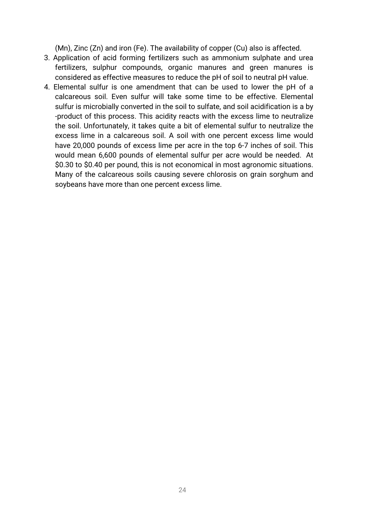(Mn), Zinc (Zn) and iron (Fe). The availability of copper (Cu) also is affected.

- 3. Application of acid forming fertilizers such as ammonium sulphate and urea fertilizers, sulphur compounds, organic manures and green manures is considered as effective measures to reduce the pH of soil to neutral pH value.
- 4. Elemental sulfur is one amendment that can be used to lower the pH of a calcareous soil. Even sulfur will take some time to be effective. Elemental sulfur is microbially converted in the soil to sulfate, and soil acidification is a by -product of this process. This acidity reacts with the excess lime to neutralize the soil. Unfortunately, it takes quite a bit of elemental sulfur to neutralize the excess lime in a calcareous soil. A soil with one percent excess lime would have 20,000 pounds of excess lime per acre in the top 6-7 inches of soil. This would mean 6,600 pounds of elemental sulfur per acre would be needed. At \$0.30 to \$0.40 per pound, this is not economical in most agronomic situations. Many of the calcareous soils causing severe chlorosis on grain sorghum and soybeans have more than one percent excess lime.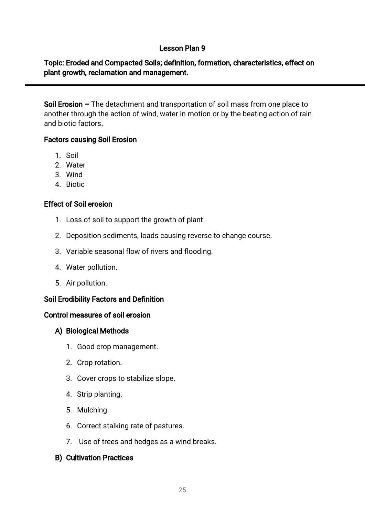# Lesson Plan 9

# Topic: Eroded and Compacted Soils; definition, formation, characteristics, effect on plant growth, reclamation and management.

Soil Erosion – The detachment and transportation of soil mass from one place to another through the action of wind, water in motion or by the beating action of rain and biotic factors.

# Factors causing Soil Erosion

- 1.Soil
- 2.Water
- 3.Wind
- 4. Biotic

# **Effect of Soil erosion**

- 1. Loss of soil to support the growth of plant.
- 2. Deposition sediments, loads causing reverse to change course.
- 3. Variable seasonal flow of rivers and flooding.
- 4. Water pollution.
- 5. Air pollution.

# Soil Erodibility Factors and Definition

### Control measures of soil erosion

# A) Biological Methods

- 1. Good crop management.
- 2. Crop rotation.
- 3. Cover crops to stabilize slope.
- 4. Strip planting.
- 5.Mulching.
- 6. Correct stalking rate of pastures.
- 7. Use of trees and hedges as a wind breaks.

# **B) Cultivation Practices**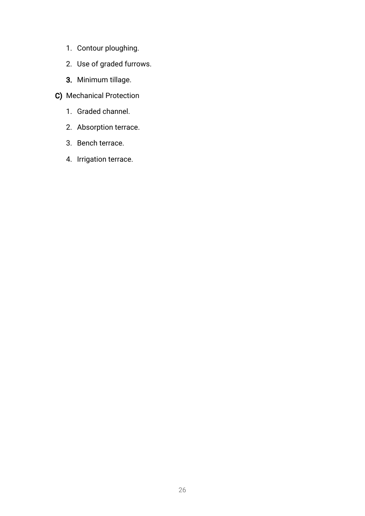- 1. Contour ploughing.
- 2. Use of graded furrows.
- 3. Minimum tillage.
- C) Mechanical Protection
	- 1. Graded channel.
	- 2. Absorption terrace.
	- 3. Bench terrace.
	- 4. Irrigation terrace.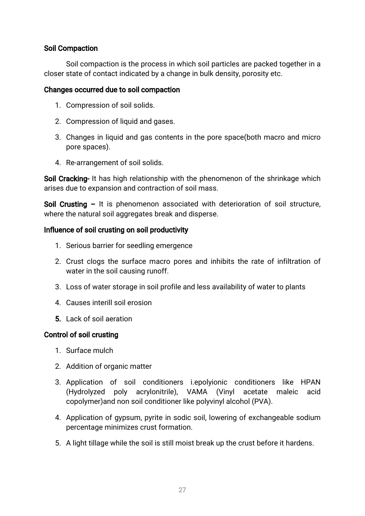# Soil Compaction

Soil compaction is the process in which soil particles are packed together in a closer state of contact indicated by a change in bulk density, porosity etc.

### Changes occurred due to soil compaction

- 1. Compression of soil solids.
- 2. Compression of liquid and gases.
- 3. Changes in liquid and gas contents in the pore space(both macro and micro pore spaces).
- 4. Re-arrangement of soil solids.

Soil Cracking- It has high relationship with the phenomenon of the shrinkage which arises due to expansion and contraction of soil mass.

Soil Crusting – It is phenomenon associated with deterioration of soil structure, where the natural soil aggregates break and disperse.

# Influence of soil crusting on soil productivity

- 1. Serious barrier for seedling emergence
- 2. Crust clogs the surface macro pores and inhibits the rate of infiltration of water in the soil causing runoff.
- 3. Loss of water storage in soil profile and less availability of water to plants
- 4.Causesinterillsoilerosion
- 5. Lack of soil aeration

# Control of soil crusting

- 1. Surface mulch
- 2. Addition of organic matter
- 3.Application of soil conditioners i.epolyionic conditioners like HPAN (Hydrolyzed poly acrylonitrile), VAMA (Vinyl acetate maleic acid copolymer)and non soil conditioner like polyvinyl alcohol (PVA).
- 4. Application of gypsum, pyrite in sodic soil, lowering of exchangeable sodium percentage minimizes crust formation.
- 5. A light tillage while the soil is still moist break up the crust before it hardens.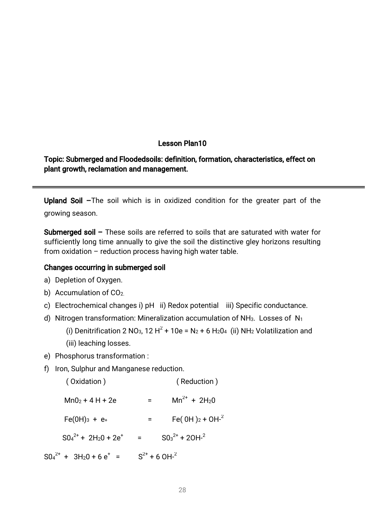#### Lesson Plan10

# Topic: Submerged and Floodedsoils: definition, formation, characteristics, effect on plant growth, reclamation and management.

Upland Soil -The soil which is in oxidized condition for the greater part of the growing season.

**Submerged soil –** These soils are referred to soils that are saturated with water for sufficiently long time annually to give the soil the distinctive gley horizons resulting from oxidation – reduction process having high water table.

#### Changes occurring in submerged soil

- a) Depletion of Oxygen.
- b) Accumulation of  $CO<sub>2</sub>$ .
- c) Electrochemical changes i) pH ii) Redox potential iii) Specific conductance.
- d) Nitrogen transformation: Mineralization accumulation of NH<sub>3</sub>. Losses of N<sub>1</sub>

(i) Denitrification 2 NO<sub>3</sub>, 12 H<sup>2</sup> + 10e = N<sub>2</sub> + 6 H<sub>2</sub>O<sub>4</sub> (ii) NH<sub>2</sub> Volatilization and (iii) leaching losses.

- e) Phosphorus transformation:
- f) Iron, Sulphur and Manganese reduction.

| (Oxidation)                                          |                               | (Reduction)                      |
|------------------------------------------------------|-------------------------------|----------------------------------|
| $Mn02 + 4H + 2e$                                     |                               | $Mn^{2+}$ + 2H <sub>2</sub> 0    |
| $Fe(OH)_{3} + e_{+}$                                 |                               | Fe( $0H$ ) <sub>2</sub> + $OH-2$ |
| $SO_4^{2+}$ + 2H <sub>2</sub> 0 + 2e <sup>+</sup>    | $=$                           | $SO_3^{2+}$ + 20H- <sup>2</sup>  |
| $SO_4^{2+}$ + 3H <sub>2</sub> 0 + 6 e <sup>+</sup> = | $S^{2+}$ + 6 OH- <sup>2</sup> |                                  |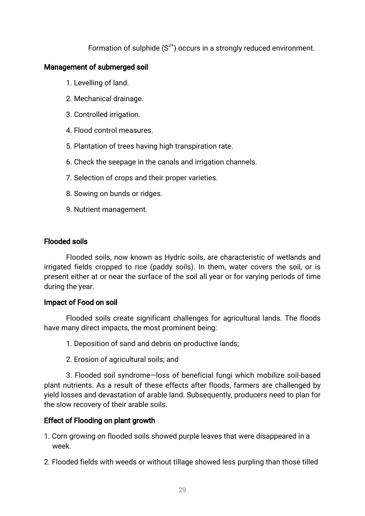Formation of sulphide  $(S^{2+})$  occurs in a strongly reduced environment.

# Management of submerged soil

- 1. Levelling of land.
- 2. Mechanical drainage.
- 3. Controlled irrigation.
- 4. Flood control measures.
- 5. Plantation of trees having high transpiration rate.
- 6. Check the seepage in the canals and irrigation channels.
- 7. Selection of crops and their proper varieties.
- 8. Sowing on bunds or ridges.
- 9. Nutrient management.

### **Flooded soils**

Flooded soils, now known as Hydric soils, are characteristic of wetlands and irrigated fields cropped to rice (paddy soils). In them, water covers the soil, or is present either at or near the surface of the soil all year or for varying periods of time during the year.

### Impact of Food on soil

Flooded soils create significant challenges for agricultural lands. The floods have many direct impacts, the most prominent being:

- 1. Deposition of sand and debris on productive lands;
- 2. Erosion of agricultural soils; and

3. Flooded soil syndrome—loss of beneficial fungi which mobilize soil-based plant nutrients. As a result of these effects after floods, farmers are challenged by yield losses and devastation of arable land. Subsequently, producers need to plan for the slow recovery of their arable soils.

# Effect of Flooding on plant growth

1. Corn growing on flooded soils showed purple leaves that were disappeared in a week.

2. Flooded fields with weeds or without tillage showed less purpling than those tilled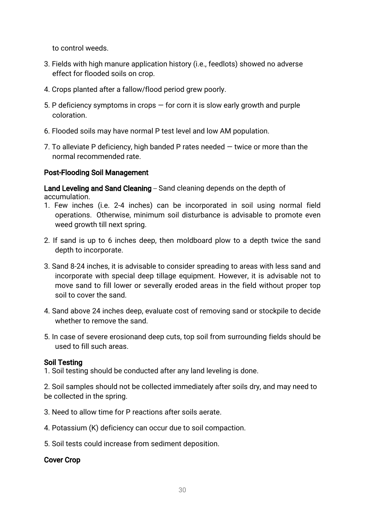to control weeds.

- 3. Fields with high manure application history (i.e., feedlots) showed no adverse effect for flooded soils on crop.
- 4. Crops planted after a fallow/flood period grew poorly.
- 5. P deficiency symptoms in crops  $-$  for corn it is slow early growth and purple coloration.
- 6. Flooded soils may have normal P test level and low AM population.
- 7. To alleviate P deficiency, high banded P rates needed  $-$  twice or more than the normal recommended rate.

# Post-Flooding Soil Management

Land Leveling and Sand Cleaning - Sand cleaning depends on the depth of accumulation.

- 1. Few inches (i.e. 2-4 inches) can be incorporated in soil using normal field operations. Otherwise, minimum soil disturbance is advisable to promote even weed growth till next spring.
- 2. If sand is up to 6 inches deep, then moldboard plow to a depth twice the sand depth to incorporate.
- 3. Sand 8-24 inches, it is advisable to consider spreading to areas with less sand and incorporate with special deep tillage equipment. However, it is advisable not to move sand to fill lower or severally eroded areas in the field without proper top soil to cover the sand.
- 4. Sand above 24 inches deep, evaluate cost of removing sand or stockpile to decide whether to remove the sand.
- 5. In case of severe erosionand deep cuts, top soil from surrounding fields should be used to fill such areas.

### Soil Testing

1. Soil testing should be conducted after any land leveling is done.

2. Soil samples should not be collected immediately after soils dry, and may need to be collected in the spring.

- 3. Need to allow time for P reactions after soils aerate.
- 4. Potassium (K) deficiency can occur due to soil compaction.
- 5. Soil tests could increase from sediment deposition.

### **Cover Crop**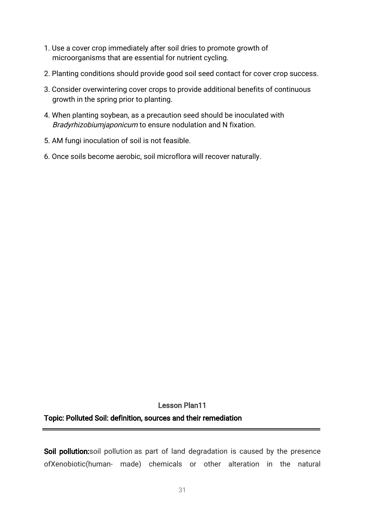- 1. Use a cover crop immediately after soil dries to promote growth of microorganisms that are essential for nutrient cycling.
- 2. Planting conditions should provide good soil seed contact for cover crop success.
- 3. Consider overwintering cover crops to provide additional benefits of continuous growth in the spring prior to planting.
- 4. When planting soybean, as a precaution seed should be inoculated with Bradyrhizobiumjaponicum to ensure nodulation and N fixation.
- 5. AM fungi inoculation of soil is not feasible.
- 6. Once soils become aerobic, soil microflora will recover naturally.

# Lesson Plan11 Topic: Polluted Soil: definition, sources and their remediation

Soil pollution:soil pollution as part of land degradation is caused by the presence ofXenobiotic(human- made) chemicals or other alteration in the natural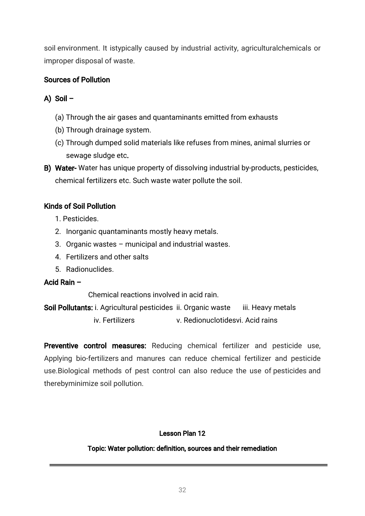soil environment. It istypically caused by industrial activity, agriculturalchemicals or improper disposal of waste.

# Sources of Pollution

# A) Soil  $-$

- (a) Through the air gases and quantaminants emitted from exhausts
- (b) Through drainage system.
- (c) Through dumped solid materials like refuses from mines, animal slurries or sewage sludge etc.
- B) Water-Water has unique property of dissolving industrial by-products, pesticides, chemical fertilizers etc. Such waste water pollute the soil.

# Kinds of Soil Pollution

- 1.Pesticides.
- 2. Inorganic quantaminants mostly heavy metals.
- 3. Organic wastes municipal and industrial wastes.
- 4. Fertilizers and other salts
- 5.Radionuclides.

# Acid Rain -

Chemical reactions involved in acid rain

Soil Pollutants: i. Agricultural pesticides ii. Organic waste iii. Heavy metals iv. Fertilizers v. Redionuclotidesvi. Acid rains

Preventive control measures: Reducing chemical fertilizer and pesticide use, Applying bio-fertilizers and manures can reduce chemical fertilizer and pesticide use. Biological methods of pest control can also reduce the use of pesticides and therebyminimize soil pollution.

# Lesson Plan 12

# Topic: Water pollution: definition, sources and their remediation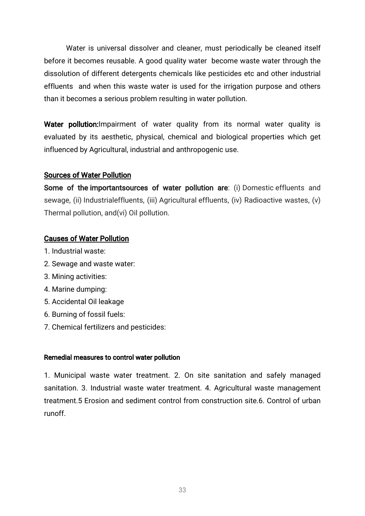Water is universal dissolver and cleaner, must periodically be cleaned itself before it becomes reusable. A good quality water become waste water through the dissolution of different detergents chemicals like pesticides etc and other industrial effluents and when this waste water is used for the irrigation purpose and others than it becomes a serious problem resulting in water pollution.

Water pollution: Impairment of water quality from its normal water quality is evaluated by its aesthetic, physical, chemical and biological properties which get influenced by Agricultural, industrial and anthropogenic use.

### Sources of Water Pollution

Some of the importantsources of water pollution are: (i) Domestic effluents and sewage, (ii) Industrialeffluents, (iii) Agricultural effluents, (iv) Radioactive wastes, (v) Thermal pollution, and(vi) Oil pollution.

# **Causes of Water Pollution**

- 1. Industrial waste:
- 2. Sewage and waste water:
- 3.Miningactivities:
- 4. Marine dumping:
- 5. Accidental Oil leakage
- 6. Burning of fossil fuels:
- 7. Chemical fertilizers and pesticides:

### Remedial measures to control water pollution

1. Municipal waste water treatment. 2. On site sanitation and safely managed sanitation. 3. Industrial waste water treatment. 4. Agricultural waste management treatment.5 Erosion and sediment control from construction site.6. Control of urban runoff.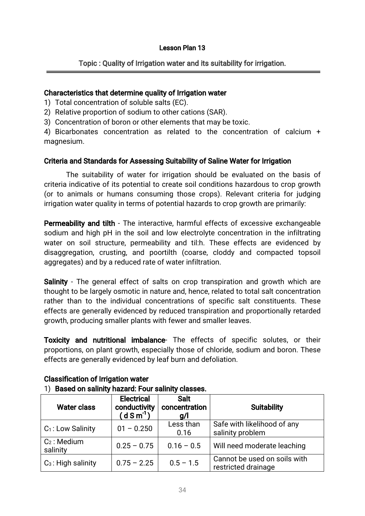#### Lesson Plan 13

### Topic: Quality of Irrigation water and its suitability for irrigation.

#### Characteristics that determine quality of Irrigation water

- 1) Total concentration of soluble salts (EC).
- 2) Relative proportion of sodium to other cations (SAR).
- 3) Concentration of boron or other elements that may be toxic.

4) Bicarbonates concentration as related to the concentration of calcium + magnesium.

#### Criteria and Standards for Assessing Suitability of Saline Water for Irrigation

The suitability of water for irrigation should be evaluated on the basis of criteria indicative of its potential to create soil conditions hazardous to crop growth (or to animals or humans consuming those crops). Relevant criteria for judging irrigation water quality in terms of potential hazards to crop growth are primarily:

**Permeability and tilth** - The interactive, harmful effects of excessive exchangeable sodium and high pH in the soil and low electrolyte concentration in the infiltrating water on soil structure, permeability and til:h. These effects are evidenced by disaggregation, crusting, and poortilth (coarse, cloddy and compacted topsoil aggregates) and by a reduced rate of water infiltration.

Salinity - The general effect of salts on crop transpiration and growth which are thought to be largely osmotic in nature and, hence, related to total salt concentration rather than to the individual concentrations of specific salt constituents. These effects are generally evidenced by reduced transpiration and proportionally retarded growth, producing smaller plants with fewer and smaller leaves.

Toxicity and nutritional imbalance- The effects of specific solutes, or their proportions, on plant growth, especially those of chloride, sodium and boron. These effects are generally evidenced by leaf burn and defoliation.

| $\sim$ , $\sim$ , $\sim$ , $\sim$ , $\sim$ , $\sim$ , $\sim$ , $\sim$ , $\sim$ , $\sim$ , $\sim$ , $\sim$ , $\sim$ , $\sim$ , $\sim$ , $\sim$ |                                                        |                                     |                                                     |  |  |  |  |  |  |  |  |  |
|-----------------------------------------------------------------------------------------------------------------------------------------------|--------------------------------------------------------|-------------------------------------|-----------------------------------------------------|--|--|--|--|--|--|--|--|--|
| <b>Water class</b>                                                                                                                            | <b>Electrical</b><br>conductivity<br>$(d \, S \, m^1)$ | <b>Salt</b><br>concentration<br>g/l | <b>Suitability</b>                                  |  |  |  |  |  |  |  |  |  |
| $C_1$ : Low Salinity                                                                                                                          | $01 - 0.250$                                           | Less than<br>0.16                   | Safe with likelihood of any<br>salinity problem     |  |  |  |  |  |  |  |  |  |
| $C_2$ : Medium<br>salinity                                                                                                                    | $0.25 - 0.75$                                          | $0.16 - 0.5$                        | Will need moderate leaching                         |  |  |  |  |  |  |  |  |  |
| $C_3$ : High salinity                                                                                                                         | $0.75 - 2.25$                                          | $0.5 - 1.5$                         | Cannot be used on soils with<br>restricted drainage |  |  |  |  |  |  |  |  |  |

### Classification of Irrigation water

### 1) Based on salinity hazard: Four salinity classes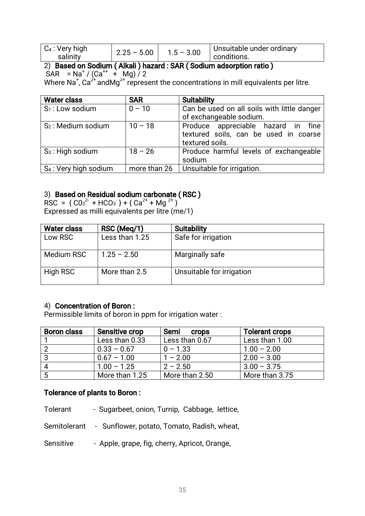| $\mid$ C <sub>4</sub> : Very high<br>salinity | $2.25 - 5.00$ | $1.5 - 3.00$ | Unsuitable under ordinary<br>conditions. |
|-----------------------------------------------|---------------|--------------|------------------------------------------|
|-----------------------------------------------|---------------|--------------|------------------------------------------|

# 2) Based on Sodium (Alkali) hazard: SAR (Sodium adsorption ratio)

 $SAR = Na<sup>+</sup> / (Ca<sup>++</sup> + Ma) / 2$ 

Where Na<sup>+</sup>, Ca<sup>2+</sup> andMg<sup>2+</sup> represent the concentrations in mill equivalents per litre.

| <b>Water class</b>                | <b>SAR</b>   | <b>Suitability</b>                                                                             |
|-----------------------------------|--------------|------------------------------------------------------------------------------------------------|
| $S_1$ : Low sodium                | $0 - 10$     | Can be used on all soils with little danger<br>of exchangeable sodium.                         |
| S <sub>2</sub> : Medium sodium    | $10 - 18$    | Produce appreciable hazard in fine<br>textured soils, can be used in coarse<br>textured soils. |
| $S_3$ : High sodium               | $18 - 26$    | Produce harmful levels of exchangeable<br>sodium                                               |
| S <sub>4</sub> : Very high sodium | more than 26 | Unsuitable for irrigation.                                                                     |

# 3) Based on Residual sodium carbonate (RSC)

RSC =  ${CO_3}^{2+}$  + HCO<sub>3</sub> } +  ${Ca}^{2+}$  + Mg<sup>2+</sup> } Expressed as milli equivalents per litre (me/1)

| <b>Water class</b> | RSC (Meg/1)    | <b>Suitability</b>        |
|--------------------|----------------|---------------------------|
| Low RSC            | Less than 1.25 | Safe for irrigation       |
| Medium RSC         | $1.25 - 2.50$  | Marginally safe           |
| High RSC           | More than 2.5  | Unsuitable for irrigation |

# 4) Concentration of Boron:

Permissible limits of boron in ppm for irrigation water:

| <b>Boron class</b> | <b>Sensitive crop</b> | Semi<br><b>Crops</b> | <b>Tolerant crops</b> |
|--------------------|-----------------------|----------------------|-----------------------|
|                    | Less than 0.33        | Less than 0.67       | Less than 1.00        |
| -2                 | $0.33 - 0.67$         | $0 - 1.33$           | $1.00 - 2.00$         |
| -3                 | $0.67 - 1.00$         | $1 - 2.00$           | $2.00 - 3.00$         |
| 4                  | $1.00 - 1.25$         | $2 - 2.50$           | $3.00 - 3.75$         |
|                    | More than 1.25        | More than 2.50       | More than 3.75        |

# Tolerance of plants to Boron:

Tolerant - Sugarbeet, onion, Turnip, Cabbage, lettice,

Semitolerant - Sunflower, potato, Tomato, Radish, wheat,

Sensitive - Apple, grape, fig, cherry, Apricot, Orange,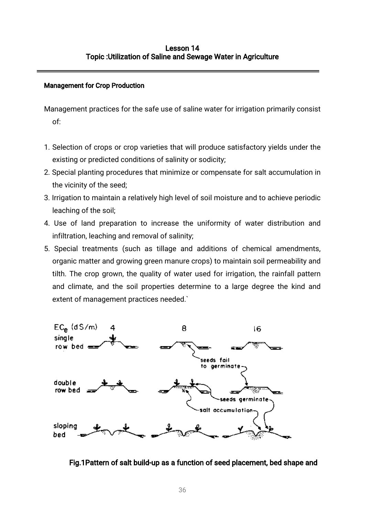### **Management for Crop Production**

Management practices for the safe use of saline water for irrigation primarily consist of:

- 1. Selection of crops or crop varieties that will produce satisfactory yields under the existing or predicted conditions of salinity or sodicity;
- 2. Special planting procedures that minimize or compensate for salt accumulation in the vicinity of the seed;
- 3. Irrigation to maintain a relatively high level of soil moisture and to achieve periodic leaching of the soil;
- 4. Use of land preparation to increase the uniformity of water distribution and infiltration, leaching and removal of salinity;
- 5. Special treatments (such as tillage and additions of chemical amendments, organic matter and growing green manure crops) to maintain soil permeability and tilth. The crop grown, the quality of water used for irrigation, the rainfall pattern and climate, and the soil properties determine to a large degree the kind and extent of management practices needed.`



Fig.1Pattern of salt build-up as a function of seed placement, bed shape and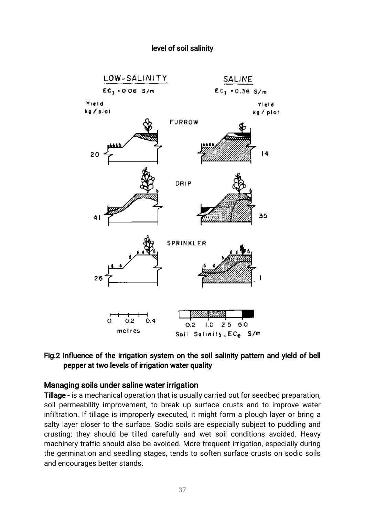#### level of soil salinity



### Fig.2 Influence of the irrigation system on the soil salinity pattern and yield of bell pepper at two levels of irrigation water quality

#### Managing soils under saline water irrigation

Tillage - is a mechanical operation that is usually carried out for seedbed preparation, soil permeability improvement, to break up surface crusts and to improve water infiltration. If tillage is improperly executed, it might form a plough layer or bring a salty layer closer to the surface. Sodic soils are especially subject to puddling and crusting; they should be tilled carefully and wet soil conditions avoided. Heavy machinery traffic should also be avoided. More frequent irrigation, especially during the germination and seedling stages, tends to soften surface crusts on sodic soils and encourages better stands.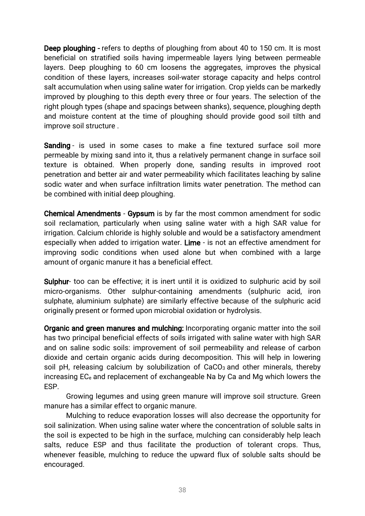**Deep ploughing - refers to depths of ploughing from about 40 to 150 cm. It is most** beneficial on stratified soils having impermeable layers lying between permeable layers. Deep ploughing to 60 cm loosens the aggregates, improves the physical condition of these layers, increases soil-water storage capacity and helps control salt accumulation when using saline water for irrigation. Crop yields can be markedly improved by ploughing to this depth every three or four years. The selection of the right plough types (shape and spacings between shanks), sequence, ploughing depth and moisture content at the time of ploughing should provide good soil tilth and improve soil structure.

Sanding - is used in some cases to make a fine textured surface soil more permeable by mixing sand into it, thus a relatively permanent change in surface soil texture is obtained. When properly done, sanding results in improved root penetration and better air and water permeability which facilitates leaching by saline sodic water and when surface infiltration limits water penetration. The method can be combined with initial deep ploughing.

Chemical Amendments - Gypsum is by far the most common amendment for sodic soil reclamation, particularly when using saline water with a high SAR value for irrigation. Calcium chloride is highly soluble and would be a satisfactory amendment especially when added to irrigation water. Lime - is not an effective amendment for improving sodic conditions when used alone but when combined with a large amount of organic manure it has a beneficial effect.

Sulphur-too can be effective; it is inert until it is oxidized to sulphuric acid by soil micro-organisms. Other sulphur-containing amendments (sulphuric acid, iron sulphate, aluminium sulphate) are similarly effective because of the sulphuric acid originally present or formed upon microbial oxidation or hydrolysis.

Organic and green manures and mulching: Incorporating organic matter into the soil has two principal beneficial effects of soils irrigated with saline water with high SAR and on saline sodic soils: improvement of soil permeability and release of carbon dioxide and certain organic acids during decomposition. This will help in lowering soil pH, releasing calcium by solubilization of CaCO<sub>3</sub> and other minerals, thereby increasing EC<sub>e</sub> and replacement of exchangeable Na by Ca and Mg which lowers the ESP.

Growing legumes and using green manure will improve soil structure. Green manure has a similar effect to organic manure.

Mulching to reduce evaporation losses will also decrease the opportunity for soil salinization. When using saline water where the concentration of soluble salts in the soil is expected to be high in the surface, mulching can considerably help leach salts, reduce ESP and thus facilitate the production of tolerant crops. Thus, whenever feasible, mulching to reduce the upward flux of soluble salts should be encouraged.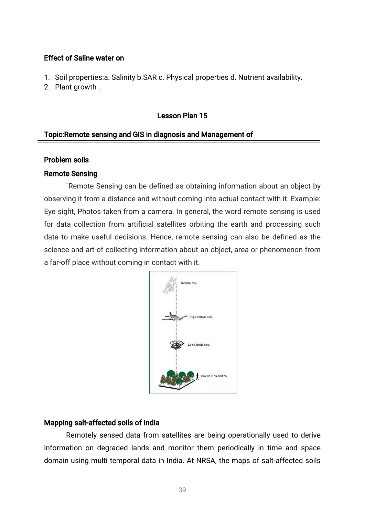### Effect of Saline water on

- 1. Soil properties: a. Salinity b.SAR c. Physical properties d. Nutrient availability.
- 2. Plant growth.

# Lesson Plan 15

# Topic: Remote sensing and GIS in diagnosis and Management of

#### Problem soils

#### **Remote Sensing**

`Remote Sensing can be defined as obtaining information about an object by observing it from a distance and without coming into actual contact with it. Example: Eye sight, Photos taken from a camera. In general, the word remote sensing is used for data collection from artificial satellites orbiting the earth and processing such data to make useful decisions. Hence, remote sensing can also be defined as the science and art of collecting information about an object, area or phenomenon from a far-off place without coming in contact with it.



### Mapping salt-affected soils of India

Remotely sensed data from satellites are being operationally used to derive information on degraded lands and monitor them periodically in time and space domain using multi temporal data in India. At NRSA, the maps of salt-affected soils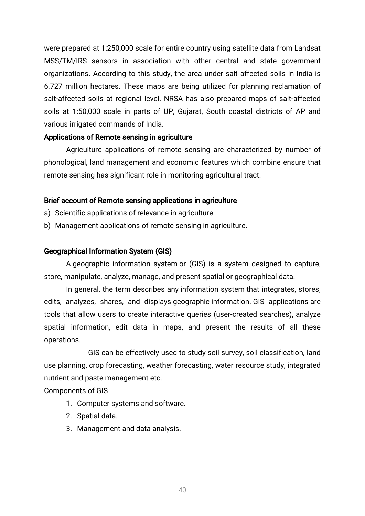were prepared at 1:250,000 scale for entire country using satellite data from Landsat MSS/TM/IRS sensors in association with other central and state government organizations. According to this study, the area under salt affected soils in India is 6.727 million hectares. These maps are being utilized for planning reclamation of salt-affected soils at regional level. NRSA has also prepared maps of salt-affected soils at 1:50,000 scale in parts of UP, Gujarat, South coastal districts of AP and various irrigated commands of India.

### Applications of Remote sensing in agriculture

Agriculture applications of remote sensing are characterized by number of phonological, land management and economic features which combine ensure that remote sensing has significant role in monitoring agricultural tract.

### Brief account of Remote sensing applications in agriculture

- a) Scientific applications of relevance in agriculture.
- b) Management applications of remote sensing in agriculture.

# Geographical Information System (GIS)

A geographic information system or (GIS) is a system designed to capture, store, manipulate, analyze, manage, and present spatial or geographical data.

In general, the term describes any information system that integrates, stores, edits, analyzes, shares, and displays geographic information. GIS applications are tools that allow users to create interactive queries (user-created searches), analyze spatial information, edit data in maps, and present the results of all these operations.

GIS can be effectively used to study soil survey, soil classification, land use planning, crop forecasting, weather forecasting, water resource study, integrated nutrient and paste management etc.

### Components of GIS

- 1. Computer systems and software.
- 2. Spatial data.
- 3. Management and data analysis.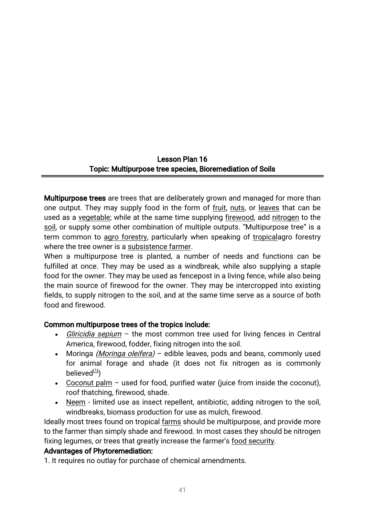# Lesson Plan 16 Topic: Multipurpose tree species, Bioremediation of Soils

Multipurpose trees are trees that are deliberately grown and managed for more than one output. They may supply food in the form of fruit, nuts, or leaves that can be used as a vegetable; while at the same time supplying firewood, add nitrogen to the soil, or supply some other combination of multiple outputs. "Multipurpose tree" is a term common to agro forestry, particularly when speaking of tropicalagro forestry where the tree owner is a subsistence farmer.

When a multipurpose tree is planted, a number of needs and functions can be fulfilled at once. They may be used as a windbreak, while also supplying a staple food for the owner. They may be used as fencepost in a living fence, while also being the main source of firewood for the owner. They may be intercropped into existing fields, to supply nitrogen to the soil, and at the same time serve as a source of both food and firewood.

# Common multipurpose trees of the tropics include:

- Gliricidia sepium the most common tree used for living fences in Central America, firewood, fodder, fixing nitrogen into the soil.
- Moringa *(Moringa oleifera)* edible leaves, pods and beans, commonly used for animal forage and shade (it does not fix nitrogen as is commonly believed $(11)$
- Coconut palm used for food, purified water (juice from inside the coconut), roof thatching, firewood, shade.
- Neem limited use as insect repellent, antibiotic, adding nitrogen to the soil, windbreaks, biomass production for use as mulch, firewood.

Ideally most trees found on tropical farms should be multipurpose, and provide more to the farmer than simply shade and firewood. In most cases they should be nitrogen fixing legumes, or trees that greatly increase the farmer's food security.

### Advantages of Phytoremediation:

1. It requires no outlay for purchase of chemical amendments.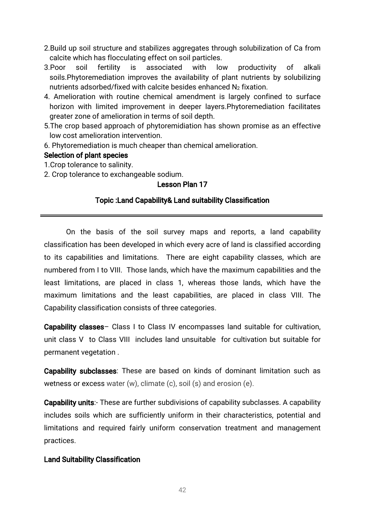- 2. Build up soil structure and stabilizes aggregates through solubilization of Ca from calcite which has flocculating effect on soil particles.
- 3.Poor soil fertility is associated with low productivity of alkali soils.Phytoremediation improves the availability of plant nutrients by solubilizing nutrients adsorbed/fixed with calcite besides enhanced  $N_2$  fixation.
- 4. Amelioration with routine chemical amendment is largely confined to surface horizon with limited improvement in deeper lavers.Phytoremediation facilitates greater zone of amelioration in terms of soil depth.
- 5. The crop based approach of phytoremidiation has shown promise as an effective low cost amelioration intervention.
- 6. Phytoremediation is much cheaper than chemical amelioration.

# Selection of plant species

- 1. Crop tolerance to salinity.
- 2. Crop tolerance to exchangeable sodium.

# Lesson Plan 17

### Topic: Land Capability& Land suitability Classification

On the basis of the soil survey maps and reports, a land capability classification has been developed in which every acre of land is classified according to its capabilities and limitations. There are eight capability classes, which are numbered from I to VIII. Those lands, which have the maximum capabilities and the least limitations, are placed in class 1, whereas those lands, which have the maximum limitations and the least capabilities, are placed in class VIII. The Capability classification consists of three categories.

Capability classes– Class I to Class IV encompasses land suitable for cultivation, unit class V to Class VIII includes land unsuitable for cultivation but suitable for permanent vegetation.

Capability subclasses: These are based on kinds of dominant limitation such as wetness or excess water (w), climate (c), soil (s) and erosion (e).

Capability units:- These are further subdivisions of capability subclasses. A capability includes soils which are sufficiently uniform in their characteristics, potential and limitations and required fairly uniform conservation treatment and management practices.

### **Land Suitability Classification**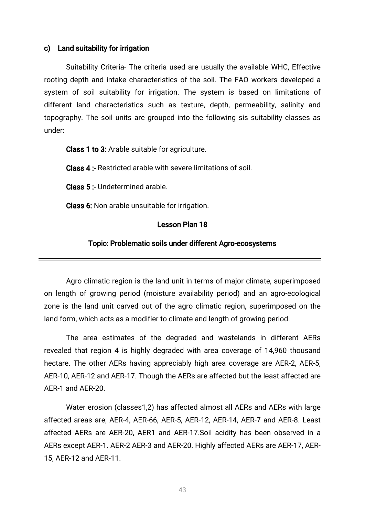#### c) Land suitability for irrigation

Suitability Criteria- The criteria used are usually the available WHC, Effective rooting depth and intake characteristics of the soil. The FAO workers developed a system of soil suitability for irrigation. The system is based on limitations of different land characteristics such as texture, depth, permeability, salinity and topography. The soil units are grouped into the following sis suitability classes as under:

Class 1 to 3: Arable suitable for agriculture.

Class 4: Restricted arable with severe limitations of soil.

Class 5: Undetermined arable.

Class 6: Non arable unsuitable for irrigation.

#### Lesson Plan 18

#### Topic: Problematic soils under different Agro-ecosystems

Agro climatic region is the land unit in terms of major climate, superimposed on length of growing period (moisture availability period) and an agro-ecological zone is the land unit carved out of the agro climatic region, superimposed on the land form, which acts as a modifier to climate and length of growing period.

The area estimates of the degraded and wastelands in different AERs revealed that region 4 is highly degraded with area coverage of 14,960 thousand hectare. The other AERs having appreciably high area coverage are AER-2, AER-5, AER-10, AER-12 and AER-17. Though the AERs are affected but the least affected are AER-1 and AER-20.

Water erosion (classes1,2) has affected almost all AERs and AERs with large affected areas are; AER-4, AER-66, AER-5, AER-12, AER-14, AER-7 and AER-8. Least affected AERs are AER-20, AER1 and AER-17. Soil acidity has been observed in a AERs except AER-1. AER-2 AER-3 and AER-20. Highly affected AERs are AER-17, AER-15,AER-12andAER-11.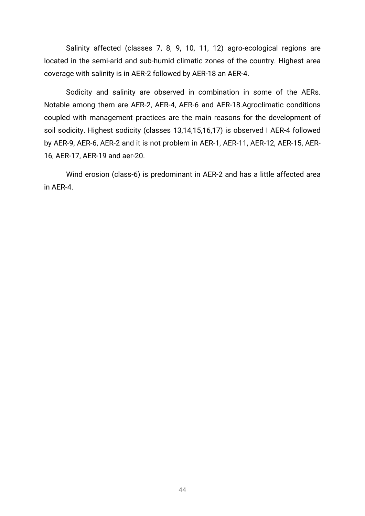Salinity affected (classes 7, 8, 9, 10, 11, 12) agro-ecological regions are located in the semi-arid and sub-humid climatic zones of the country. Highest area coverage with salinity is in AER-2 followed by AER-18 an AER-4.

Sodicity and salinity are observed in combination in some of the AERs. Notable among them are AER-2, AER-4, AER-6 and AER-18.Agroclimatic conditions coupled with management practices are the main reasons for the development of soil sodicity. Highest sodicity (classes 13,14,15,16,17) is observed I AER-4 followed by AER-9, AER-6, AER-2 and it is not problem in AER-1, AER-11, AER-12, AER-15, AER-16, AER-17, AER-19 and aer-20.

Wind erosion (class-6) is predominant in AER-2 and has a little affected area in AER-4.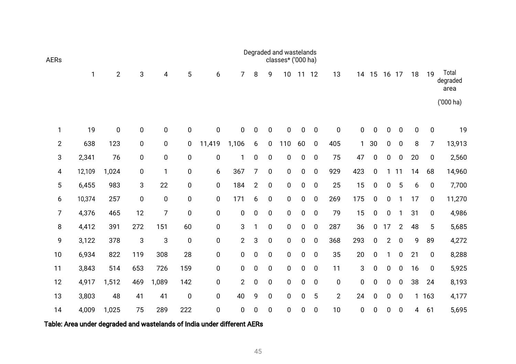| <b>AERs</b>    |        |                |     |              |             |           |                |                |             | Degraded and wastelands<br>classes* ('000 ha) |             |                  |                |     |                  |                |                  |             |             |                           |
|----------------|--------|----------------|-----|--------------|-------------|-----------|----------------|----------------|-------------|-----------------------------------------------|-------------|------------------|----------------|-----|------------------|----------------|------------------|-------------|-------------|---------------------------|
|                | 1      | $\overline{2}$ | 3   | 4            | 5           | 6         | $\overline{7}$ | 8              | 9           | 10                                            | 11          | 12               | 13             | 14  | 15               | 16             | 17               | 18          | 19          | Total<br>degraded<br>area |
|                |        |                |     |              |             |           |                |                |             |                                               |             |                  |                |     |                  |                |                  |             |             | ('000 ha)                 |
| 1              | 19     | $\pmb{0}$      | 0   | $\mathbf 0$  | $\mathbf 0$ | $\pmb{0}$ | $\mathbf 0$    | 0              | $\mathbf 0$ | $\mathbf 0$                                   | $\mathbf 0$ | $\mathbf 0$      | $\mathbf 0$    | 0   | $\pmb{0}$        | 0              | $\mathbf 0$      | $\mathbf 0$ | $\pmb{0}$   | 19                        |
| $\overline{2}$ | 638    | 123            | 0   | $\pmb{0}$    | $\pmb{0}$   | 11,419    | 1,106          | 6              | $\mathbf 0$ | 110                                           | 60          | $\mathbf 0$      | 405            |     | 30               | 0              | $\pmb{0}$        | 8           | 7           | 13,913                    |
| 3              | 2,341  | 76             | 0   | 0            | $\pmb{0}$   | $\pmb{0}$ | 1              | 0              | $\mathbf 0$ | $\mathbf 0$                                   | $\mathbf 0$ | $\mathbf 0$      | 75             | 47  | $\mathbf 0$      | 0              | $\mathbf 0$      | 20          | $\pmb{0}$   | 2,560                     |
| 4              | 12,109 | 1,024          | 0   | $\mathbf{1}$ | $\pmb{0}$   | 6         | 367            | 7              | 0           | 0                                             | 0           | $\overline{0}$   | 929            | 423 | $\mathbf 0$      | 1              | 11               | 14          | 68          | 14,960                    |
| 5              | 6,455  | 983            | 3   | 22           | $\pmb{0}$   | $\pmb{0}$ | 184            | $\overline{2}$ | $\mathbf 0$ | $\mathbf 0$                                   | 0           | $\mathbf 0$      | 25             | 15  | $\pmb{0}$        | 0              | 5                | 6           | $\mathbf 0$ | 7,700                     |
| 6              | 10,374 | 257            | 0   | 0            | $\pmb{0}$   | $\pmb{0}$ | 171            | 6              | $\pmb{0}$   | $\mathbf 0$                                   | $\pmb{0}$   | $\mathbf 0$      | 269            | 175 | $\pmb{0}$        | 0              | 1                | 17          | $\pmb{0}$   | 11,270                    |
| 7              | 4,376  | 465            | 12  | 7            | $\mathbf 0$ | $\pmb{0}$ | 0              | 0              | $\mathbf 0$ | $\mathbf 0$                                   | $\mathbf 0$ | $\overline{0}$   | 79             | 15  | $\pmb{0}$        | 0              | $\mathbf{1}$     | 31          | $\pmb{0}$   | 4,986                     |
| 8              | 4,412  | 391            | 272 | 151          | 60          | $\pmb{0}$ | 3              | 1              | $\mathbf 0$ | $\mathbf 0$                                   | $\pmb{0}$   | $\mathbf 0$      | 287            | 36  | 0                | 17             | $\overline{2}$   | 48          | 5           | 5,685                     |
| 9              | 3,122  | 378            | 3   | 3            | $\pmb{0}$   | $\pmb{0}$ | $\overline{2}$ | 3              | $\pmb{0}$   | $\mathbf 0$                                   | $\pmb{0}$   | $\mathbf 0$      | 368            | 293 | $\pmb{0}$        | $\overline{2}$ | $\pmb{0}$        | 9           | 89          | 4,272                     |
| 10             | 6,934  | 822            | 119 | 308          | 28          | $\pmb{0}$ | 0              | $\pmb{0}$      | $\pmb{0}$   | $\mathbf 0$                                   | $\pmb{0}$   | $\boldsymbol{0}$ | 35             | 20  | $\pmb{0}$        | 1              | $\pmb{0}$        | 21          | $\pmb{0}$   | 8,288                     |
| 11             | 3,843  | 514            | 653 | 726          | 159         | $\pmb{0}$ | 0              | 0              | $\mathbf 0$ | $\mathbf 0$                                   | $\mathbf 0$ | $\overline{0}$   | 11             | 3   | $\pmb{0}$        | 0              | $\mathbf 0$      | 16          | $\pmb{0}$   | 5,925                     |
| 12             | 4,917  | 1,512          | 469 | 1,089        | 142         | $\pmb{0}$ | $\overline{2}$ | 0              | 0           | $\mathbf 0$                                   | $\pmb{0}$   | $\mathbf 0$      | $\mathbf 0$    | 0   | 0                | 0              | 0                | 38          | 24          | 8,193                     |
| 13             | 3,803  | 48             | 41  | 41           | $\pmb{0}$   | $\pmb{0}$ | 40             | 9              | $\mathbf 0$ | $\mathbf 0$                                   | $\mathbf 0$ | 5                | $\overline{2}$ | 24  | $\boldsymbol{0}$ | 0              | $\boldsymbol{0}$ | 1           | 163         | 4,177                     |
| 14             | 4,009  | 1,025          | 75  | 289          | 222         | $\pmb{0}$ | 0              | $\mathbf 0$    | $\pmb{0}$   | 0                                             | 0           | $\boldsymbol{0}$ | 10             | 0   | $\pmb{0}$        | 0              | $\pmb{0}$        | 4           | 61          | 5,695                     |

Table: Area under degraded and wastelands of India under different AERs